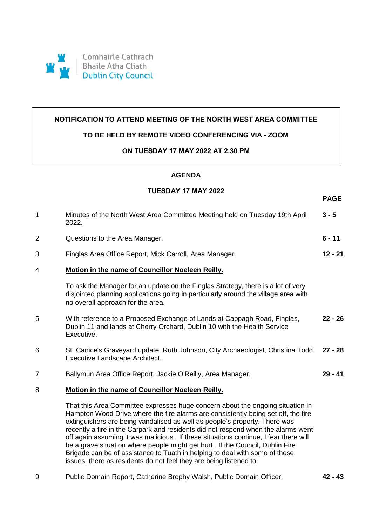

### **NOTIFICATION TO ATTEND MEETING OF THE NORTH WEST AREA COMMITTEE**

#### **TO BE HELD BY REMOTE VIDEO CONFERENCING VIA - ZOOM**

#### **ON TUESDAY 17 MAY 2022 AT 2.30 PM**

# **AGENDA**

## **TUESDAY 17 MAY 2022**

**PAGE**

| $\mathbf 1$    | Minutes of the North West Area Committee Meeting held on Tuesday 19th April<br>2022.                                                                                                                                                                                                                                                                                                                                                                                                                                                                                                           | $3 - 5$   |
|----------------|------------------------------------------------------------------------------------------------------------------------------------------------------------------------------------------------------------------------------------------------------------------------------------------------------------------------------------------------------------------------------------------------------------------------------------------------------------------------------------------------------------------------------------------------------------------------------------------------|-----------|
| $\overline{2}$ | Questions to the Area Manager.                                                                                                                                                                                                                                                                                                                                                                                                                                                                                                                                                                 | $6 - 11$  |
| 3              | Finglas Area Office Report, Mick Carroll, Area Manager.                                                                                                                                                                                                                                                                                                                                                                                                                                                                                                                                        | $12 - 21$ |
| 4              | Motion in the name of Councillor Noeleen Reilly.                                                                                                                                                                                                                                                                                                                                                                                                                                                                                                                                               |           |
|                | To ask the Manager for an update on the Finglas Strategy, there is a lot of very<br>disjointed planning applications going in particularly around the village area with<br>no overall approach for the area.                                                                                                                                                                                                                                                                                                                                                                                   |           |
| 5              | With reference to a Proposed Exchange of Lands at Cappagh Road, Finglas,<br>Dublin 11 and lands at Cherry Orchard, Dublin 10 with the Health Service<br>Executive.                                                                                                                                                                                                                                                                                                                                                                                                                             | $22 - 26$ |
| 6              | St. Canice's Graveyard update, Ruth Johnson, City Archaeologist, Christina Todd,<br>Executive Landscape Architect.                                                                                                                                                                                                                                                                                                                                                                                                                                                                             | $27 - 28$ |
| $\overline{7}$ | Ballymun Area Office Report, Jackie O'Reilly, Area Manager.                                                                                                                                                                                                                                                                                                                                                                                                                                                                                                                                    | $29 - 41$ |
| 8              | Motion in the name of Councillor Noeleen Reilly.                                                                                                                                                                                                                                                                                                                                                                                                                                                                                                                                               |           |
|                | That this Area Committee expresses huge concern about the ongoing situation in<br>Hampton Wood Drive where the fire alarms are consistently being set off, the fire<br>extinguishers are being vandalised as well as people's property. There was<br>recently a fire in the Carpark and residents did not respond when the alarms went<br>off again assuming it was malicious. If these situations continue, I fear there will<br>be a grave situation where people might get hurt. If the Council, Dublin Fire<br>Brigade can be of assistance to Tuath in helping to deal with some of these |           |

9 Public Domain Report, Catherine Brophy Walsh, Public Domain Officer. **42 - 43**

issues, there as residents do not feel they are being listened to.